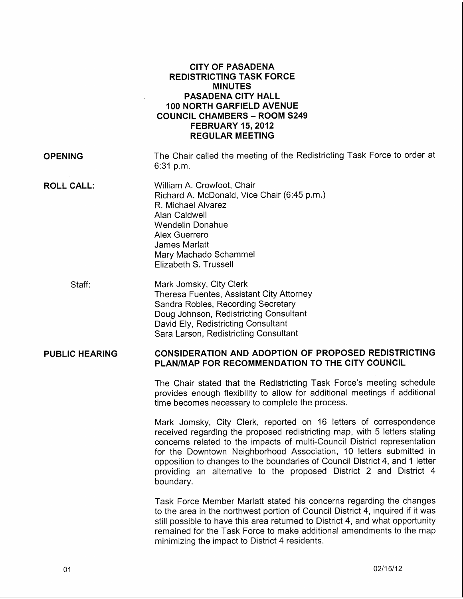|                       | <b>CITY OF PASADENA</b><br><b>REDISTRICTING TASK FORCE</b><br><b>MINUTES</b><br><b>PASADENA CITY HALL</b><br><b>100 NORTH GARFIELD AVENUE</b><br><b>COUNCIL CHAMBERS - ROOM S249</b><br><b>FEBRUARY 15, 2012</b><br><b>REGULAR MEETING</b> |
|-----------------------|--------------------------------------------------------------------------------------------------------------------------------------------------------------------------------------------------------------------------------------------|
| <b>OPENING</b>        | The Chair called the meeting of the Redistricting Task Force to order at<br>6:31 p.m.                                                                                                                                                      |
| <b>ROLL CALL:</b>     | William A. Crowfoot, Chair<br>Richard A. McDonald, Vice Chair (6:45 p.m.)<br>R. Michael Alvarez<br>Alan Caldwell<br>Wendelin Donahue<br>Alex Guerrero<br><b>James Marlatt</b><br>Mary Machado Schammel<br>Elizabeth S. Trussell            |
| Staff:                | Mark Jomsky, City Clerk<br>Theresa Fuentes, Assistant City Attorney<br>Sandra Robles, Recording Secretary<br>Doug Johnson, Redistricting Consultant<br>David Ely, Redistricting Consultant<br>Sara Larson, Redistricting Consultant        |
| <b>PUBLIC HEARING</b> | <b>CONSIDERATION AND ADOPTION OF PROPOSED REDISTRICTING</b><br>PLAN/MAP FOR RECOMMENDATION TO THE CITY COUNCIL                                                                                                                             |
|                       | The Chair stated that the Redistricting Task Force's meeting schedule<br>provides enough flexibility to allow for additional meetings if additional<br>time becomes necessary to complete the process.                                     |
|                       | Mark Jomsky, City Clerk, reported on 16 letters of correspondence                                                                                                                                                                          |

received regarding the proposed redistricting map, with 5 letters stating concerns related to the impacts of multi-Council District representation for the Downtown Neighborhood Association, 10 letters submitted in opposition to changes to the boundaries of Council District 4, and 1 letter providing an alternative to the proposed District 2 and District 4 boundary.

Task Force Member Marlatt stated his concerns regarding the changes to the area in the northwest portion of Council District 4, inquired if it was still possible to have this area returned to District 4, and what opportunity remained for the Task Force to make additional amendments to the map minimizing the impact to District 4 residents.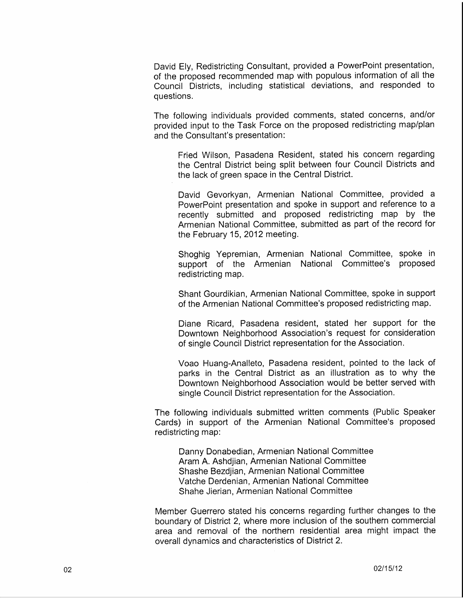David Ely, Redistricting Consultant, provided a PowerPoint presentation, of the proposed recommended map with populous information of all the Council Districts, including statistical deviations, and responded to questions.

The following individuals provided comments, stated concerns, and/or provided input to the Task Force on the proposed redistricting map/plan and the Consultant's presentation:

Fried Wilson, Pasadena Resident, stated his concern regarding the Central District being split between four Council Districts and the lack of green space in the Central District.

David Gevorkyan, Armenian National Committee, provided a PowerPoint presentation and spoke in support and reference to a recently submitted and proposed redistricting map by the Armenian National Committee, submitted as part of the record for the February 15, 2012 meeting.

Shoghig Yepremian, Armenian National Committee, spoke in support of the Armenian National Committee's proposed redistricting map.

Shant Gourdikian, Armenian National Committee, spoke in support of the Armenian National Committee's proposed redistricting map.

Diane Ricard, Pasadena resident, stated her support for the Downtown Neighborhood Association's request for consideration of single Council District representation for the Association.

Voao Huang-Analleto, Pasadena resident, pointed to the lack of parks in the Central District as an illustration as to why the Downtown Neighborhood Association would be better served with single Council District representation for the Association.

The following individuals submitted written comments (Public Speaker Cards) in support of the Armenian National Committee's proposed redistricting map:

Danny Donabedian, Armenian National Committee Aram A. Ashdjian, Armenian National Committee Shashe Bezdjian, Armenian National Committee Vatche Derdenian, Armenian National Committee Shahe Jierian, Armenian National Committee

Member Guerrero stated his concerns regarding further changes to the boundary of District 2, where more inclusion of the southern commercial area and removal of the northern residential area might impact the overall dynamics and characteristics of District 2.